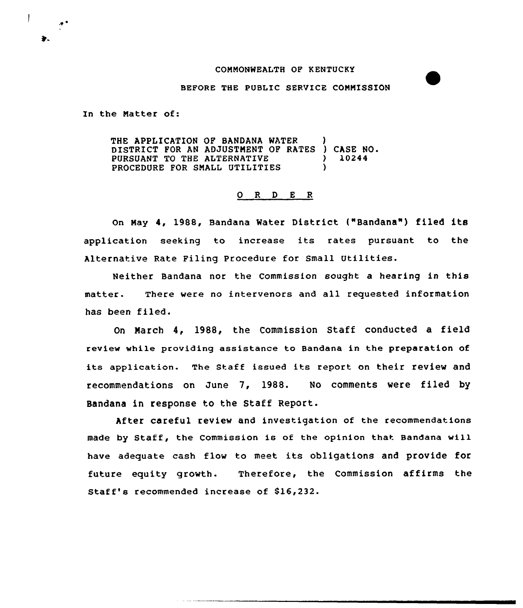## CONNONWEALTH OF K ENTUCKY

#### BEFORE THE PUBLIC SERVICE CONNISSION

In the Natter of:

THE APPLICATION OF BANDANA WATER DISTRICT FOR AN ADJUSTMENT OF RATES ) CASE NO.<br>PURSUANT TO THE ALTERNATIVE  $\rightarrow$  10244 PURSUANT TO THE ALTERNATIVE  $\left.\begin{array}{ccc} \bullet & \bullet & \bullet \\ \bullet & \bullet & \bullet & \bullet \end{array}\right\}$ PROCEDURE FOR SMALL UTILITIES

## 0 R <sup>D</sup> E <sup>R</sup>

On May 4, 1988, Bandana Water District ("Bandana") filed its application seeking to increase its rates pursuant to the Alternative Rate Filing Procedure for Small Utilities.

Neither Bandana nor the Commission sought a hearing in this matter. There were no intervenors and all requested information has been filed.

On March 4, 1988, the Commission Staff conducted a field review while providing assistance to Bandana in the preparation of its application. The Staff issued its report on their review and recommendations on June 7, 1988. No comments were filed by Bandana in response to the Staff Report.

After careful review and investigation of the recommendations made by Staff, the Commission is of the opinion that Bandana will have adequate cash flow to meet its obligations and provide for future equity growth. Therefore, the Commission affirms the Staff's recommended increase of \$16,232.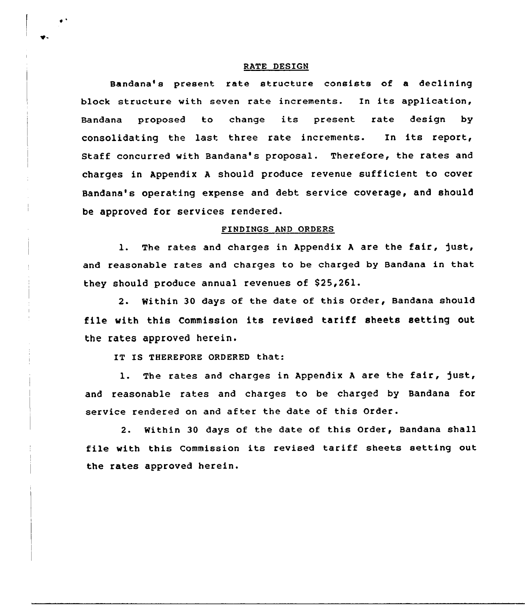#### RATE DESIGN

Bandana's present rate structure consists of a declining block structure with seven rate increments. In its application, Bandana proposed to change its present rate design by consolidating the last three rate increments. In its report, Staff concurred with Bandana's proposal. Therefore, the rates and charges in Appendix <sup>A</sup> should produce revenue sufficient to cover Bandana's operating expense and debt service coverage, and should be approved for services rendered.

## FINDINGS AND ORDERS

1. The rates and charges in Appendix A are the fair, just, and reasonable rates and charges to be charged by Bandana in that they should produce annual revenues of S25,261.

2. Within 30 days of the date of this Order, Bandana should file with this Commission its revised tariff sheets setting out the rates approved herein.

IT IS THEREFORE ORDERED that:

1. The rates and charges in Appendix A are the fair, just, and reasonable rates and charges to be charged by Bandana for service rendered on and after the date of this Order.

2. Within 30 days of the date of this Order, Bandana shall file with this Commission its revised tariff sheets setting out the rates approved herein.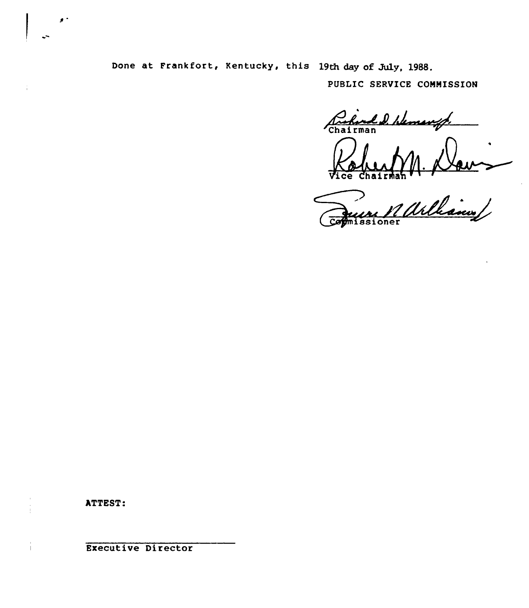Done at Frankfort, Kentucky, this 19th day of July, 1988.

PUBLIC SERVICE CONNISSION

Rockind D. W Vice Chairman

ssioner

ATTEST:

Executive Director